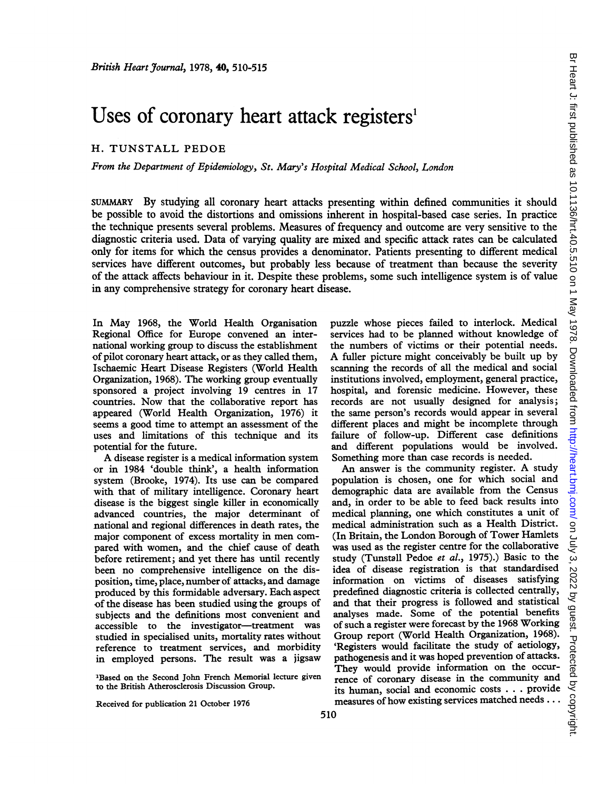# Uses of coronary heart attack registers'

## H. TUNSTALL PEDOE

From the Department of Epidemiology, St. Mary's Hospital Medical School, London

SUMMARY By studying all coronary heart attacks presenting within defined communities it should be possible to avoid the distortions and omissions inherent in hospital-based case series. In practice the technique presents several problems. Measures of frequency and outcome are very sensitive to the diagnostic criteria used. Data of varying quality are mixed and specific attack rates can be calculated only for items for which the census provides a denominator. Patients presenting to different medical services have different outcomes, but probably less because of treatment than because the severity of the attack affects behaviour in it. Despite these problems, some such intelligence system is of value in any comprehensive strategy for coronary heart disease.

In May 1968, the World Health Organisation 'Regional Office for Europe convened an international working group to discuss the establishment of pilot coronary heart attack, or as they called them, Ischaemic Heart Disease Registers (World Health Organization, 1968). The working group eventually sponsored a project involving 19 centres in 17 countries. Now that the collaborative report has appeared (World Health Organization, 1976) it seems a good time to attempt an assessment of the uses and limitations of this technique and its potential for the future.

A disease register is <sup>a</sup> medical information system or in 1984 'double think', a health information system (Brooke, 1974). Its use can be compared with that of military intelligence. Coronary heart disease is the biggest single killer in economically advanced countries, the major determinant of national and regional differences in death rates, the major component of excess mortality in men compared with women, and the chief cause of death before retirement; and yet there has until recently been no comprehensive intelligence on the disposition, time, place, number of attacks, and damage produced by this formidable adversary. Each aspect of the disease has been studied using the groups of subjects and the definitions most convenient and accessible to the investigator-treatment was studied in specialised units, mortality rates without reference to treatment services, and morbidity in employed persons. The result was a jigsaw

'Based on the Second John French Memorial lecture given to the British Atherosclerosis Discussion Group.

Received for publication 21 October 1976

puzzle whose pieces failed to interlock. Medical services had to be planned without knowledge of the numbers of victims or their potential needs. A fuller picture might conceivably be built up by scanning the records of all the medical and social institutions involved, employment, general practice, hospital, and forensic medicine. However, these records are not usually designed for analysis; the same person's records would appear in several different places and might be incomplete through failure of follow-up. Different case definitions and different populations would be involved. Something more than case records is needed.

An answer is the community register. A study population is chosen, one for which social and demographic data are available from the Census and, in order to be able to feed back results into medical planning, one which constitutes a unit of medical administration such as a Health District. (In Britain, the London Borough of Tower Hamlets was used as the register centre for the collaborative study (Tunstall Pedoe et al., 1975).) Basic to the idea of disease registration is that standardised information on victims of diseases satisfying predefined diagnostic criteria is collected centrally, and that their progress is followed and statistical analyses made. Some of the potential benefits of such a register were forecast by the 1968 Working Group report (World Health Organization, 1968). 'Registers would facilitate the study of aetiology, pathogenesis and it was hoped prevention of attacks. They would provide information on the occurrence of coronary disease in the community and its human, social and economic costs . . . provide measures of how existing services matched needs ...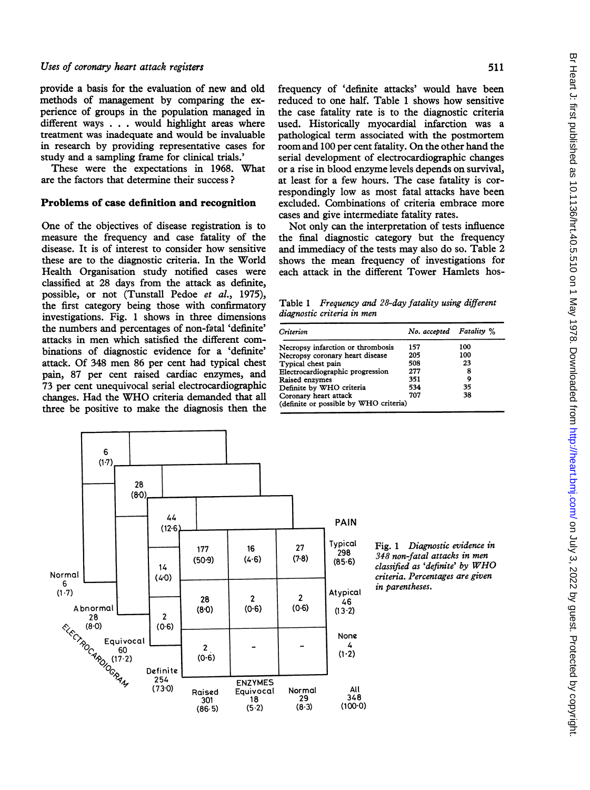provide a basis for the evaluation of new and old methods of management by comparing the experience of groups in the population managed in different ways . . . would highlight areas where treatment was inadequate and would be invaluable in research by providing representative cases for study and a sampling frame for clinical trials.'

These were the expectations in 1968. What are the factors that determine their success ?

## Problems of case definition and recognition

One of the objectives of disease registration is to measure the frequency and case fatality of the disease. It is of interest to consider how sensitive these are to the diagnostic criteria. In the World Health Organisation study notified cases were classified at 28 days from the attack as definite, possible, or not (Tunstall Pedoe et al., 1975), the first category being those with confirmatory investigations. Fig. <sup>1</sup> shows in three dimensions the numbers and percentages of non-fatal 'definite' attacks in men which satisfied the different combinations of diagnostic evidence for a 'definite' attack. Of 348 men 86 per cent had typical chest pain, 87 per cent raised cardiac enzymes, and 73 per cent unequivocal serial electrocardiographic changes. Had the WHO criteria demanded that all three be positive to make the diagnosis then the frequency of 'definite attacks' would have been reduced to one half. Table <sup>1</sup> shows how sensitive the case fatality rate is to the diagnostic criteria used. Historically myocardial infarction was a pathological term associated with the postmortem room and 100 per cent fatality. On the other hand the serial development of electrocardiographic changes or a rise in blood enzyme levels depends on survival, at least for a few hours. The case fatality is correspondingly low as most fatal attacks have been excluded. Combinations of criteria embrace more cases and give intermediate fatality rates.

Not only can the interpretation of tests influence the final diagnostic category but the frequency and immediacy of the tests may also do so. Table 2 shows the mean frequency of investigations for each attack in the different Tower Hamlets hos-

Table 1 Frequency and 28-day fatality using different diagnostic criteria in men

| Criterion                              | No. accepted Fatality % |     |
|----------------------------------------|-------------------------|-----|
| Necropsy infarction or thrombosis      | 157                     | 100 |
| Necropsy coronary heart disease        | 205                     | 100 |
| Typical chest pain                     | 508                     | 23  |
| Electrocardiographic progression       | 277                     | 8   |
| Raised enzymes                         | 351                     | 9   |
| Definite by WHO criteria               | 534                     | 35  |
| Coronary heart attack                  | 707                     | 38  |
| (definite or possible by WHO criteria) |                         |     |



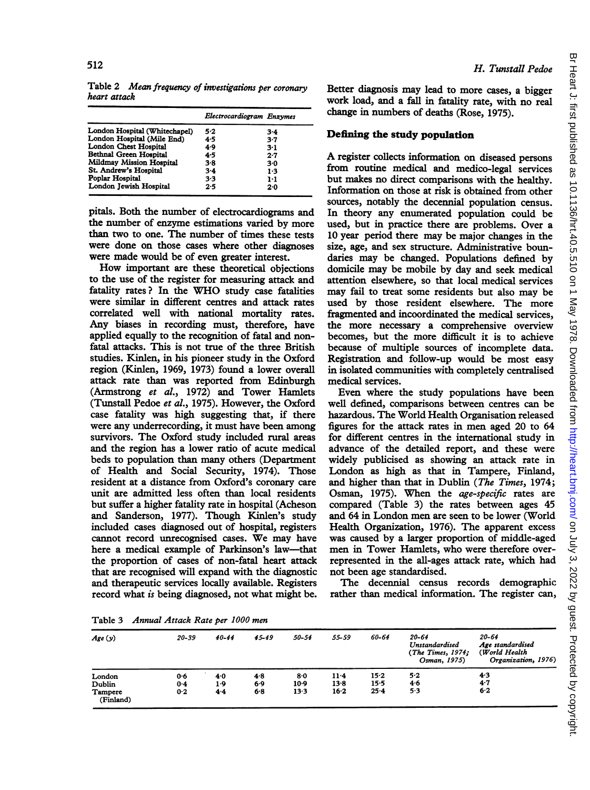Table 2 Mean frequency of investigations per coronary heart attack

|                               | Electrocardiogram Enzymes |       |  |
|-------------------------------|---------------------------|-------|--|
| London Hospital (Whitechapel) | 5.2                       | 3.4   |  |
| London Hospital (Mile End)    | 4.5                       | 3.7   |  |
| London Chest Hospital         | 4.9                       | $3-1$ |  |
| <b>Bethnal Green Hospital</b> | 4.5                       | 2.7   |  |
| Mildmay Mission Hospital      | 3.8                       | $3-0$ |  |
| St. Andrew's Hospital         | $3-4$                     | 1.3   |  |
| Poplar Hospital               | 3.3                       | 1-1   |  |
| London Jewish Hospital        | $2 - 5$                   | 2.0   |  |

pitals. Both the number of electrocardiograms and the number of enzyme estimations varied by more than two to one. The number of times these tests were done on those cases where other diagnoses were made would be of even greater interest.

How important are these theoretical objections to the use of the register for measuring attack and fatality rates? In the WHO study case fatalities were similar in different centres and attack rates correlated well with national mortality rates. Any biases in recording must, therefore, have applied equally to the recognition of fatal and nonfatal attacks. This is not true of the three British studies. Kinlen, in his pioneer study in the Oxford region (Kinlen, 1969, 1973) found a lower overall attack rate than was reported from Edinburgh (Armstrong et al., 1972) and Tower Hamlets (Tunstall Pedoe et al., 1975). However, the Oxford case fatality was high suggesting that, if there were any underrecording, it must have been among survivors. The Oxford study included rural areas and the region has a lower ratio of acute medical beds to population than many others (Departnent of Health and Social Security, 1974). Those resident at a distance from Oxford's coronary care unit are admitted less often than local residents but suffer a higher fatality rate in hospital (Acheson and Sanderson, 1977). Though Kinlen's study included cases diagnosed out of hospital, registers cannot record unrecognised cases. We may have here a medical example of Parkinson's law-that the proportion of cases of non-fatal heart attack that are recognised will expand with the diagnostic and therapeutic services locally available. Registers record what is being diagnosed, not what might be. Better diagnosis may lead to more cases, a bigger work load, and a fall in fatality rate, with no real change in numbers of deaths (Rose, 1975).

#### Defining the study population

A register collects information on diseased persons from routine medical and medico-legal services but makes no direct comparisons with the healthy. Information on those at risk is obtained from other sources, notably the decennial population census. In theory any enumerated population could be used, but in practice there are problems. Over a 10 year period there may be major changes in the size, age, and sex structure. Administrative boundaries may be changed. Populations defined by domicile may be mobile by day and seek medical attention elsewhere, so that local medical services may fail to treat some residents but also may be used by those resident elsewhere. The more fragmented and incoordinated the medical services, the more necessary a comprehensive overview becomes, but the more difficult it is to achieve because of multiple sources of incomplete data. Registration and follow-up would be most easy in isolated communities with completely centralised medical services.

Even where the study populations have been well defined, comparisons between centres can be hazardous. The World Health Organisation released figures for the attack rates in men aged 20 to 64 for different centres in the international study in advance of the detailed report, and these were widely publicised as showing an attack rate in London as high as that in Tampere, Finland, and higher than that in Dublin (The Times, 1974; Osman, 1975). When the age-specific rates are compared (Table 3) the rates between ages 45 and 64 in London men are seen to be lower (World Health Organization, 1976). The apparent excess was caused by a larger proportion of middle-aged men in Tower Hamlets, who were therefore overrepresented in the all-ages attack rate, which had not been age standardised.

The decennial census records demographic rather than medical information. The register can,

| Age(y)               | $20 - 39$ | $40 - 44$ | 45-49   | 50-54  | 55-59  | 60-64    | $20 - 64$<br>Unstandardised<br>(The Times, $1974;$<br>Osman, 1975) | $20 - 64$<br>Age standardised<br>(World Health<br>Organization, 1976) |
|----------------------|-----------|-----------|---------|--------|--------|----------|--------------------------------------------------------------------|-----------------------------------------------------------------------|
| London               | 0.6       | 4.0       | 4.8     | $8-0$  | 11.4   | $15-2$   | 5.2                                                                | 4.3                                                                   |
| Dublin               | 0.4       | $1-9$     | 6.9     | $10-9$ | $13-8$ | $15 - 5$ | 4.6                                                                | 4.7                                                                   |
| Tampere<br>(Finland) | 0.2       | 4.4       | $6 - 8$ | 13.3   | $16-2$ | $25 - 4$ | 5.3                                                                | 6.2                                                                   |

Table 3 Annual Attack Rate per 1000 men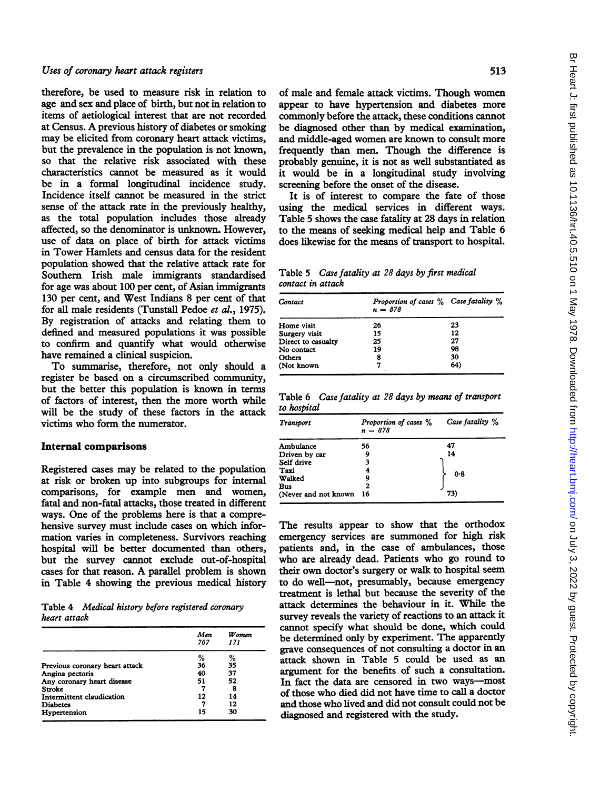therefore, be used to measure risk in relation to age and sex and place of birth, but not in relation to items of aetiological interest that are not recorded at Census. A previous history of diabetes or smoking may be elicited from coronary heart attack victims, but the prevalence in the population is not known, so that the relative risk associated with these characteristics cannot be measured as it would be in a formal longitudinal incidence study. Incidence itself cannot be measured in the strict sense of the attack rate in the previously healthy, as the total population includes those already affected, so the denominator is unknown. However, use of data on place of birth for attack victims in Tower Hamlets and census data for the resident population showed that the relative attack rate for Southern Irish male immigrants standardised for age was about 100 per cent, of Asian immigrants 130 per cent, and West Indians 8 per cent of that for all male residents (Tunstall Pedoe et al., 1975). By registration of attacks and relating them to defined and measured populations it was possible to confirm and quantify what would otherwise have remained a clinical suspicion.

To summarise, therefore, not only should a register be based on a circumscribed community, but the better this population is known in terms of factors of interest, then the more worth while will be the study of these factors in the attack victims who form the numerator.

#### Internal comparisons

Registered cases may be related to the population at risk or broken up into subgroups for internal comparisons, for example men and women, fatal and non-fatal attacks, those treated in different ways. One of the problems here is that a comprehensive survey must include cases on which information varies in completeness. Survivors reaching hospital will be better documented than others, but the survey cannot exclude out-of-hospital cases for that reason. A parallel problem is shown in Table 4 showing the previous medical history

Table 4 Medical history before registered coronary heart attack

|                                | Men<br>707 | <b>W</b> omen<br>171 |
|--------------------------------|------------|----------------------|
|                                | %          | %                    |
| Previous coronary heart attack | 36         | 35                   |
| Angina pectoris                | 40         | 37                   |
| Any coronary heart disease     | 51         | 52                   |
| Stroke                         |            | 8                    |
| Intermittent claudication      | 12         | 14                   |
| Diabetes                       |            | 12                   |
| Hypertension                   | 15         | 30                   |

of male and female attack victims. Though women appear to have hypertension and diabetes more commonly before the attack, these conditions cannot be diagnosed other than by medical examination, and middle-aged women are known to consult more frequently than men. Though the difference is probably genuine, it is not as well substantiated as it would be in a longitudinal study involving screening before the onset of the disease.

It is of interest to compare the fate of those using the medical services in different ways. Table 5 shows the case fatality at 28 days in relation to the means of seeking medical help and Table 6 does likewise for the means of transport to hospital.

Table 5 Case fatality at 28 days by first medical contact in attack

| Contact              | Proportion of cases % Case fatality %<br>$n = 878$ |     |
|----------------------|----------------------------------------------------|-----|
| Home visit           | 26                                                 | 23  |
| <b>Surgery visit</b> | 15                                                 | 12  |
| Direct to casualty   | 25                                                 | 27  |
| No contact           | 19                                                 | 98  |
| Others               | 8                                                  | 30  |
| (Not known           |                                                    | 64) |

Table 6 Case fatality at 28 days by means of transport to hospital

| <b>Transport</b>        | Proportion of cases %<br>$n = 878$ | Case fatality % |
|-------------------------|------------------------------------|-----------------|
| Ambulance               | 56                                 | 47              |
| Driven by car           | 9                                  | 14              |
| Self drive              | 3                                  |                 |
| Taxi                    | 4                                  |                 |
| Walked                  | 9                                  | 0.8             |
| Bus                     | 2                                  |                 |
| (Never and not known 16 |                                    | 73)             |

The results appear to show that the orthodox emergency services are summoned for high risk patients and, in the case of ambulances, those who are already dead. Patients who go round to their own doctor's surgery or walk to hospital seem to do well-not, presumably, because emergency treatment is lethal but because the severity of the attack determines the behaviour in it. While the survey reveals the variety of reactions to an attack it cannot specify what should be done, which could be determined only by experiment. The apparently grave consequences of not consulting a doctor in an attack shown in Table 5 could be used as an argument for the benefits of such a consultation. In fact the data are censored in two ways-most of those who died did not have time to call a doctor and those who lived and did not consult could not be diagnosed and registered with the study.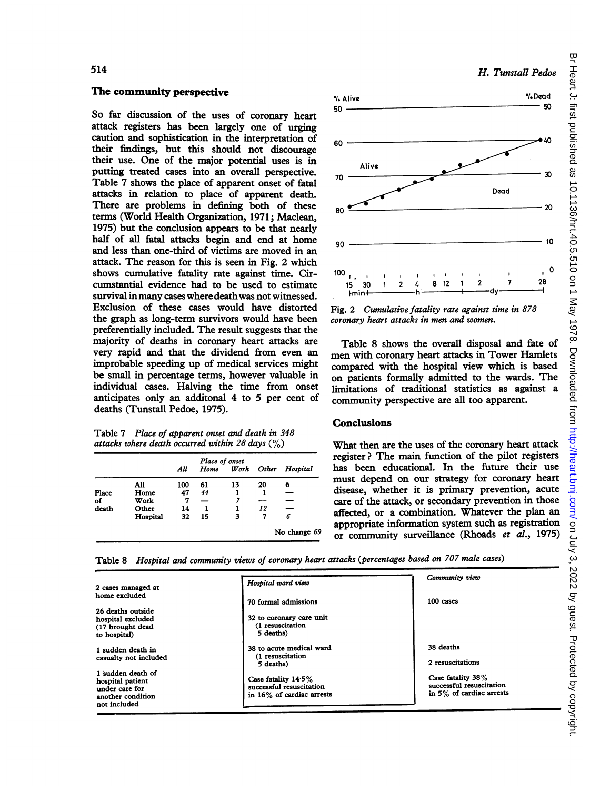## 514

## The community perspective

So far discussion of the uses of coronary heart attack registers has been largely one of urging caution and sophistication in the interpretation of their findings, but this should not discourage their use. One of the major potential uses is in putting treated cases into an overall perspective. Table 7 shows the place of apparent onset of fatal attacks in relation to place of apparent death. There are problems in defining both of these terms (World Health Organization, 1971; Maclean, 1975) but the conclusion appears to be that nearly half of all fatal attacks begin and end at home and less than one-third of victims are moved in an attack. The reason for this is seen in Fig. 2 which shows cumulative fatality rate against time. Circumstantial evidence had to be used to estimate survival inmany cases where deathwas not witnessed. Exclusion of these cases would have distorted the graph as long-term survivors would have been preferentially included. The result suggests that the majority of deaths in coronary heart attacks are very rapid and that the dividend from even an improbable speeding up of medical services might be small in percentage terms, however valuable in individual cases. Halving the time from onset anticipates only an additonal 4 to 5 per cent of deaths (Tunstall Pedoe, 1975).

Table 7 Place of apparent onset and death in 348 attacks where death occurred within 28 days  $(\%)$ 

|       |          | All | Place of onset           |    |    | Home Work Other Hospital |
|-------|----------|-----|--------------------------|----|----|--------------------------|
|       | All      | 100 | 61                       | 13 | 20 | 6                        |
| Place | Home     | 47  | 44                       |    |    |                          |
| of    | Work     | 7   | $\overline{\phantom{0}}$ |    |    |                          |
| death | Other    | 14  |                          |    | 12 | $\overline{\phantom{m}}$ |
|       | Hospital | 32  | 15                       | 3  | 7  | 6                        |
|       |          |     |                          |    |    | No change 69             |



Fig. 2 Cumulative fatality rate against time in 878 coronary heart attacks in men and women.

Table 8 shows the overall disposal and fate of men with coronary heart attacks in Tower Hamlets compared with the hospital view which is based on patients formally admitted to the wards. The limitations of traditional statistics as against a community perspective are all too apparent.

## **Conclusions**

What then are the uses of the coronary heart attack register ? The main function of the pilot registers has been educational. In the future their use must depend on our strategy for coronary heart disease, whether it is primary prevention, acute care of the attack, or secondary prevention in those affected, or a combination. Whatever the plan an appropriate information system such as registration or community surveillance (Rhoads et al., 1975)

|  | Table 8 Hospital and community views of coronary heart attacks (percentages based on 707 male cases) |  |  |  |  |  |  |  |  |  |  |
|--|------------------------------------------------------------------------------------------------------|--|--|--|--|--|--|--|--|--|--|
|--|------------------------------------------------------------------------------------------------------|--|--|--|--|--|--|--|--|--|--|

|                                                                                              | Table 8 Hospital and community views of coronary heart attacks (percentages based on 707 male cases) |                                                                           |
|----------------------------------------------------------------------------------------------|------------------------------------------------------------------------------------------------------|---------------------------------------------------------------------------|
| 2 cases managed at<br>home excluded                                                          | Hospital ward view                                                                                   | Community view                                                            |
|                                                                                              | 70 formal admissions                                                                                 | 100 cases                                                                 |
| 26 deaths outside<br>hospital excluded<br>(17 brought dead<br>to hospital)                   | 32 to coronary care unit<br>(1 resuscitation<br>5 deaths)                                            |                                                                           |
| 1 sudden death in<br>casualty not included                                                   | 38 to acute medical ward<br>(1 resuscitation                                                         | 38 deaths                                                                 |
|                                                                                              | 5 deaths)                                                                                            | 2 resuscitations                                                          |
| 1 sudden death of<br>hospital patient<br>under care for<br>another condition<br>not included | Case fatality $14.5\%$<br>successful resuscitation<br>in 16% of cardiac arrests                      | Case fatality 38%<br>successful resuscitation<br>in 5% of cardiac arrests |